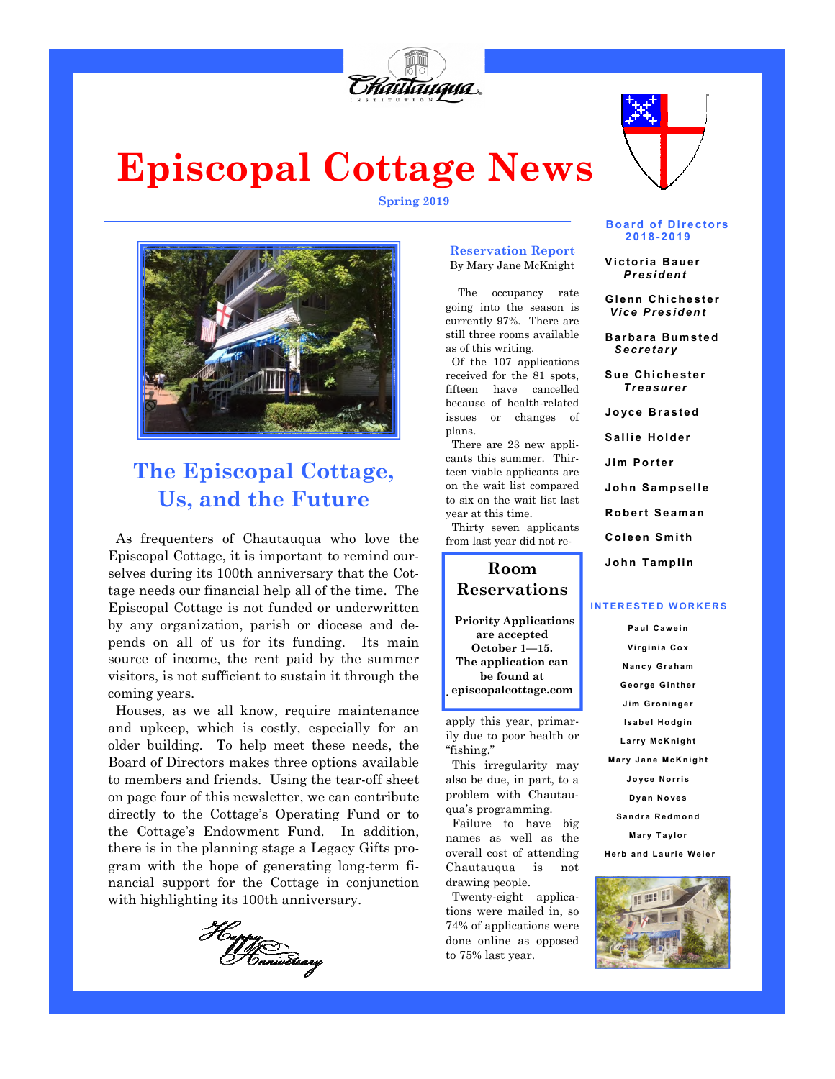

# **Episcopal Cottage News**

**Spring 2019** 



# **The Episcopal Cottage, Us, and the Future**

As frequenters of Chautauqua who love the Episcopal Cottage, it is important to remind ourselves during its 100th anniversary that the Cottage needs our financial help all of the time. The Episcopal Cottage is not funded or underwritten by any organization, parish or diocese and depends on all of us for its funding. Its main source of income, the rent paid by the summer visitors, is not sufficient to sustain it through the coming years.

 Houses, as we all know, require maintenance and upkeep, which is costly, especially for an older building. To help meet these needs, the Board of Directors makes three options available to members and friends. Using the tear-off sheet on page four of this newsletter, we can contribute directly to the Cottage's Operating Fund or to the Cottage's Endowment Fund. In addition, there is in the planning stage a Legacy Gifts program with the hope of generating long-term financial support for the Cottage in conjunction with highlighting its 100th anniversary.



#### **Reservation Report**  By Mary Jane McKnight

 The occupancy rate going into the season is currently 97%. There are still three rooms available as of this writing.

 Of the 107 applications received for the 81 spots, fifteen have cancelled because of health-related issues or changes of plans.

 There are 23 new applicants this summer. Thirteen viable applicants are on the wait list compared to six on the wait list last year at this time.

 Thirty seven applicants from last year did not re-

**Room Reservations Priority Applications are accepted October 1—15. The application can** 

**be found at episcopalcottage.com**  .

apply this year, primarily due to poor health or "fishing."

 This irregularity may also be due, in part, to a problem with Chautauqua's programming.

 Failure to have big names as well as the overall cost of attending Chautauqua is not drawing people.

 Twenty-eight applications were mailed in, so 74% of applications were done online as opposed to 75% last year.

**Board of Directors 2 0 1 8- 2 01 9** 

 **V i c to ri a B au er** *P r e si d en t* 

**Gl enn Chi ch e st e r** *V i c e P re si d en t* 

 **B ar ba ra Bum s te d** *S e cr e t ar y* 

**Sue Chichester** *T re a sur e r*

 **Jo yc e B ra s te d** 

Sallie Holder

 **Ji m P o r te r** 

 **Jo hn S am p sel l e** 

**Robert Seaman** 

 **Col e en S m i th** 

**John Tamplin** 

#### **INTERESTED WORKERS**

**Pa ul C a w e i n**  Virginia Cox **N a nc y G ra ha m G e o rg e G i nt he r J i m G ro ni ng e r Isabel Hodgin L a rr y Mc K ni g ht Mary Jane McKnight J o yc e N o r ri s Dyan Noves Sa nd ra R e d mo nd** 

**Mary Taylor** 

**Herb and Laurie Weier** 



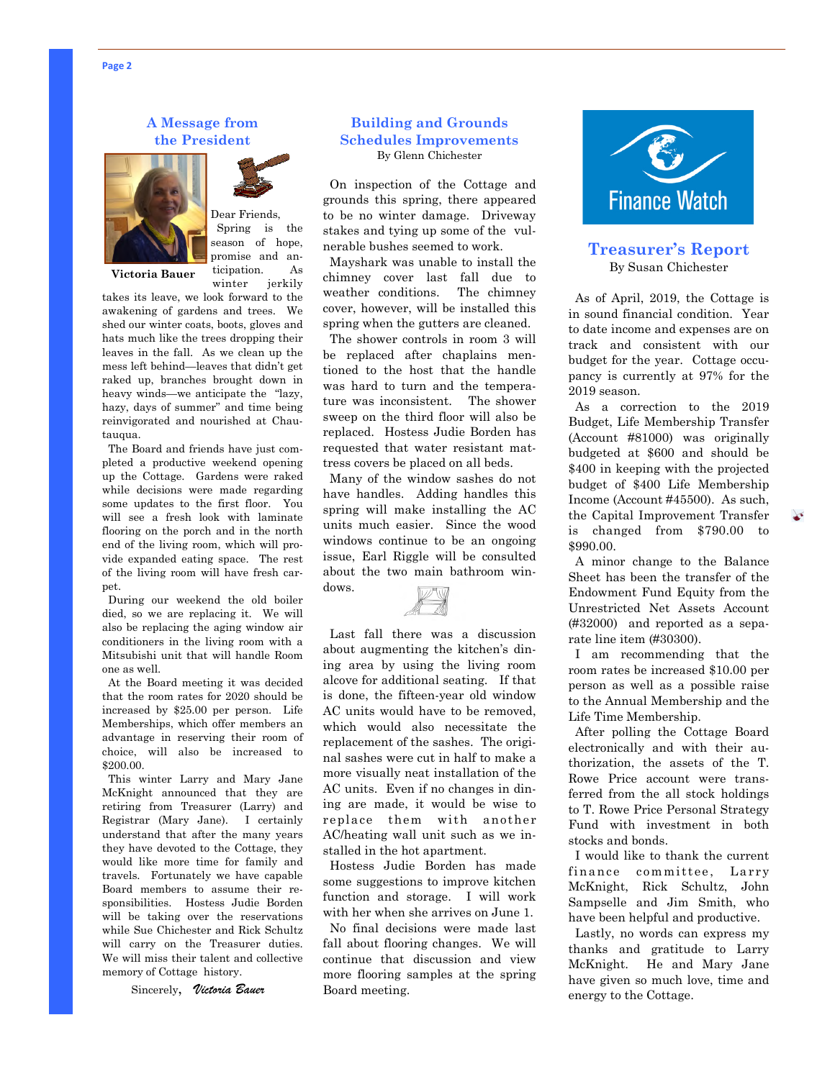#### **A Message from the President**



Dear Friends, Spring is the season of hope, promise and anticipation. As

winter jerkily

**Victoria Bauer**

takes its leave, we look forward to the awakening of gardens and trees. We shed our winter coats, boots, gloves and hats much like the trees dropping their leaves in the fall. As we clean up the mess left behind—leaves that didn't get raked up, branches brought down in heavy winds—we anticipate the "lazy, hazy, days of summer" and time being reinvigorated and nourished at Chautauqua.

 The Board and friends have just completed a productive weekend opening up the Cottage. Gardens were raked while decisions were made regarding some updates to the first floor. You will see a fresh look with laminate flooring on the porch and in the north end of the living room, which will provide expanded eating space. The rest of the living room will have fresh carpet.

 During our weekend the old boiler died, so we are replacing it. We will also be replacing the aging window air conditioners in the living room with a Mitsubishi unit that will handle Room one as well.

 At the Board meeting it was decided that the room rates for 2020 should be increased by \$25.00 per person. Life Memberships, which offer members an advantage in reserving their room of choice, will also be increased to \$200.00.

 This winter Larry and Mary Jane McKnight announced that they are retiring from Treasurer (Larry) and Registrar (Mary Jane). I certainly understand that after the many years they have devoted to the Cottage, they would like more time for family and travels. Fortunately we have capable Board members to assume their responsibilities. Hostess Judie Borden will be taking over the reservations while Sue Chichester and Rick Schultz will carry on the Treasurer duties. We will miss their talent and collective memory of Cottage history.

Sincerely, *Victoria Bauer* 

#### **Building and Grounds Schedules Improvements**  By Glenn Chichester

 On inspection of the Cottage and grounds this spring, there appeared to be no winter damage. Driveway stakes and tying up some of the vulnerable bushes seemed to work.

 Mayshark was unable to install the chimney cover last fall due to weather conditions. The chimney cover, however, will be installed this spring when the gutters are cleaned.

 The shower controls in room 3 will be replaced after chaplains mentioned to the host that the handle was hard to turn and the temperature was inconsistent. The shower sweep on the third floor will also be replaced. Hostess Judie Borden has requested that water resistant mattress covers be placed on all beds.

 Many of the window sashes do not have handles. Adding handles this spring will make installing the AC units much easier. Since the wood windows continue to be an ongoing issue, Earl Riggle will be consulted about the two main bathroom windows.



 Last fall there was a discussion about augmenting the kitchen's dining area by using the living room alcove for additional seating. If that is done, the fifteen-year old window AC units would have to be removed, which would also necessitate the replacement of the sashes. The original sashes were cut in half to make a more visually neat installation of the AC units. Even if no changes in dining are made, it would be wise to replace them with another AC/heating wall unit such as we installed in the hot apartment.

 Hostess Judie Borden has made some suggestions to improve kitchen function and storage. I will work with her when she arrives on June 1.

 No final decisions were made last fall about flooring changes. We will continue that discussion and view more flooring samples at the spring Board meeting.



#### **Treasurer's Report**  By Susan Chichester

 As of April, 2019, the Cottage is in sound financial condition. Year to date income and expenses are on track and consistent with our budget for the year. Cottage occupancy is currently at 97% for the 2019 season.

 As a correction to the 2019 Budget, Life Membership Transfer (Account #81000) was originally budgeted at \$600 and should be \$400 in keeping with the projected budget of \$400 Life Membership Income (Account #45500). As such, the Capital Improvement Transfer is changed from \$790.00 to \$990.00.

 A minor change to the Balance Sheet has been the transfer of the Endowment Fund Equity from the Unrestricted Net Assets Account (#32000) and reported as a separate line item (#30300).

 I am recommending that the room rates be increased \$10.00 per person as well as a possible raise to the Annual Membership and the Life Time Membership.

 After polling the Cottage Board electronically and with their authorization, the assets of the T. Rowe Price account were transferred from the all stock holdings to T. Rowe Price Personal Strategy Fund with investment in both stocks and bonds.

 I would like to thank the current finance committee, Larry McKnight, Rick Schultz, John Sampselle and Jim Smith, who have been helpful and productive.

 Lastly, no words can express my thanks and gratitude to Larry McKnight. He and Mary Jane have given so much love, time and energy to the Cottage.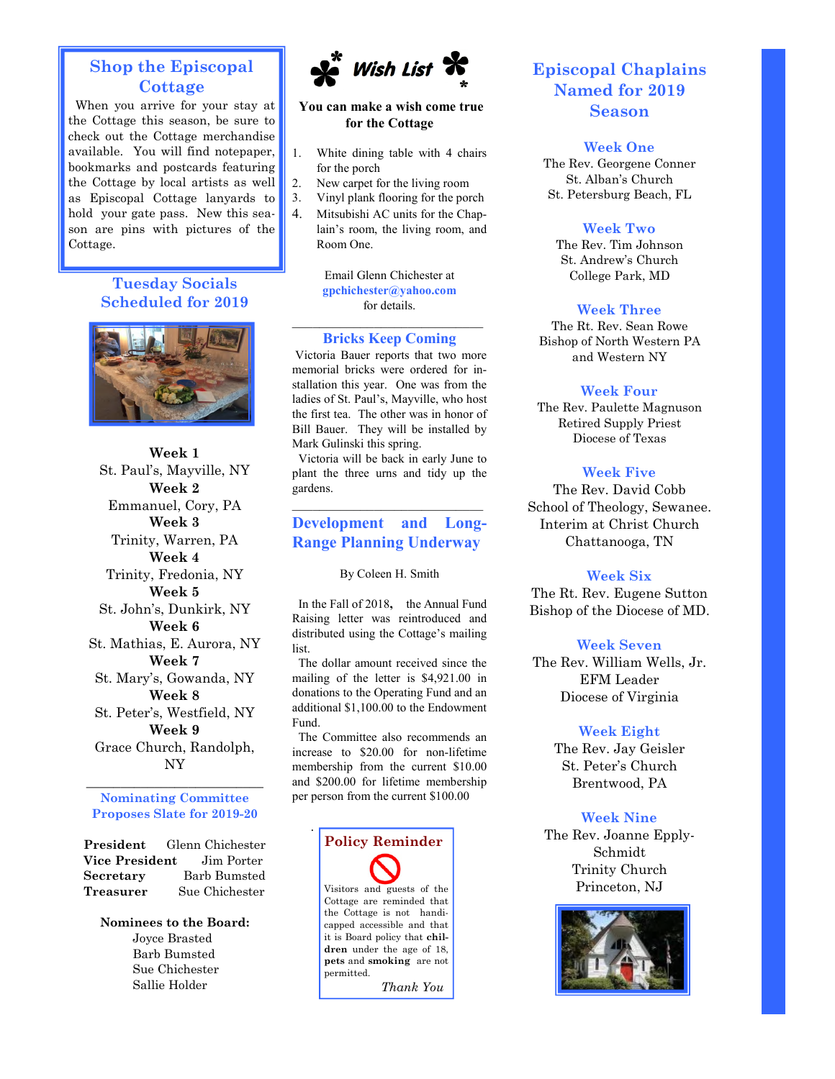# **Shop the Episcopal Cottage**

When you arrive for your stay at the Cottage this season, be sure to check out the Cottage merchandise available. You will find notepaper, bookmarks and postcards featuring the Cottage by local artists as well as Episcopal Cottage lanyards to hold your gate pass. New this season are pins with pictures of the Cottage.

# **Tuesday Socials Scheduled for 2019**



**Week 1**  St. Paul's, Mayville, NY **Week 2**  Emmanuel, Cory, PA **Week 3**  Trinity, Warren, PA **Week 4**  Trinity, Fredonia, NY **Week 5**  St. John's, Dunkirk, NY **Week 6**  St. Mathias, E. Aurora, NY **Week 7**  St. Mary's, Gowanda, NY **Week 8**  St. Peter's, Westfield, NY **Week 9**  Grace Church, Randolph, NY

 $\_$ **Nominating Committee Proposes Slate for 2019-20** 

**President** Glenn Chichester **Vice President** Jim Porter **Secretary** Barb Bumsted **Treasurer** Sue Chichester

**Nominees to the Board:**  Joyce Brasted Barb Bumsted Sue Chichester Sallie Holder



#### **You can make a wish come true for the Cottage**

- 1. White dining table with 4 chairs for the porch
- 2. New carpet for the living room
- 3. Vinyl plank flooring for the porch
- 4. Mitsubishi AC units for the Chaplain's room, the living room, and Room One.

Email Glenn Chichester at **gpchichester@yahoo.com**  for details.

#### \_\_\_\_\_\_\_\_\_\_\_\_\_\_\_\_\_\_\_\_\_\_\_\_\_\_\_\_ **Bricks Keep Coming**

Victoria Bauer reports that two more memorial bricks were ordered for installation this year. One was from the ladies of St. Paul's, Mayville, who host the first tea. The other was in honor of Bill Bauer. They will be installed by Mark Gulinski this spring.

 Victoria will be back in early June to plant the three urns and tidy up the gardens.

# **Development and Long-Range Planning Underway**

\_\_\_\_\_\_\_\_\_\_\_\_\_\_\_\_\_\_\_\_\_\_\_\_\_\_\_\_

By Coleen H. Smith

 In the Fall of 2018**,** the Annual Fund Raising letter was reintroduced and distributed using the Cottage's mailing list.

 The dollar amount received since the mailing of the letter is \$4,921.00 in donations to the Operating Fund and an additional \$1,100.00 to the Endowment Fund.

 The Committee also recommends an increase to \$20.00 for non-lifetime membership from the current \$10.00 and \$200.00 for lifetime membership per person from the current \$100.00



# **Episcopal Chaplains Named for 2019 Season**

#### **Week One**

The Rev. Georgene Conner St. Alban's Church St. Petersburg Beach, FL

#### **Week Two**

The Rev. Tim Johnson St. Andrew's Church College Park, MD

#### **Week Three**

The Rt. Rev. Sean Rowe Bishop of North Western PA and Western NY

#### **Week Four**

The Rev. Paulette Magnuson Retired Supply Priest Diocese of Texas

#### **Week Five**

The Rev. David Cobb School of Theology, Sewanee. Interim at Christ Church Chattanooga, TN

#### **Week Six**

The Rt. Rev. Eugene Sutton Bishop of the Diocese of MD.

#### **Week Seven**

The Rev. William Wells, Jr. EFM Leader Diocese of Virginia

#### **Week Eight**

The Rev. Jay Geisler St. Peter's Church Brentwood, PA

#### **Week Nine**

The Rev. Joanne Epply-Schmidt Trinity Church Princeton, NJ